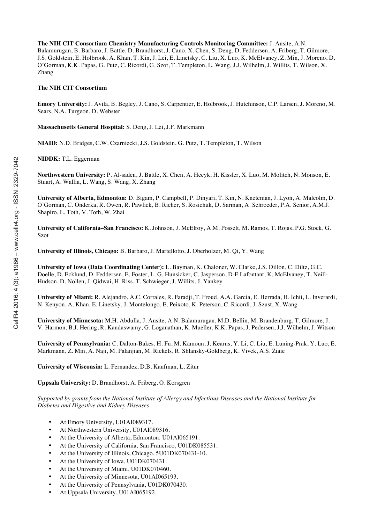**The NIH CIT Consortium Chemistry Manufacturing Controls Monitoring Committee:** J. Ansite, A.N. Balamurugan, B. Barbaro, J. Battle, D. Brandhorst, J. Cano, X. Chen, S. Deng, D. Feddersen, A. Friberg, T. Gilmore, J.S. Goldstein, E. Holbrook, A. Khan, T. Kin, J. Lei, E. Linetsky, C. Liu, X. Luo, K. McElvaney, Z. Min, J. Moreno, D. O'Gorman, K.K. Papas, G. Putz, C. Ricordi, G. Szot, T. Templeton, L. Wang, J.J. Wilhelm, J. Willits, T. Wilson, X. Zhang

### **The NIH CIT Consortium**

**Emory University:** J. Avila, B. Begley, J. Cano, S. Carpentier, E. Holbrook, J. Hutchinson, C.P. Larsen, J. Moreno, M. Sears, N.A. Turgeon, D. Webster

**Massachusetts General Hospital:** S. Deng, J. Lei, J.F. Markmann

**NIAID:** N.D. Bridges, C.W. Czarniecki, J.S. Goldstein, G. Putz, T. Templeton, T. Wilson

**NIDDK:** T.L. Eggerman

**Northwestern University:** P. Al-saden, J. Battle, X. Chen, A. Hecyk, H. Kissler, X. Luo, M. Molitch, N. Monson, E. Stuart, A. Wallia, L. Wang, S. Wang, X. Zhang

**University of Alberta, Edmonton:** D. Bigam, P. Campbell, P. Dinyari, T. Kin, N. Kneteman, J. Lyon, A. Malcolm, D. O'Gorman, C. Onderka, R. Owen, R. Pawlick, B. Richer, S. Rosichuk, D. Sarman, A. Schroeder, P.A. Senior, A.M.J. Shapiro, L. Toth, V. Toth, W. Zhai

**University of California–San Francisco:** K. Johnson, J. McElroy, A.M. Posselt, M. Ramos, T. Rojas, P.G. Stock, G. Szot

**University of Illinois, Chicago:** B. Barbaro, J. Martellotto, J. Oberholzer, M. Qi, Y. Wang

**University of Iowa (Data Coordinating Center):** L. Bayman, K. Chaloner, W. Clarke, J.S. Dillon, C. Diltz, G.C. Doelle, D. Ecklund, D. Feddersen, E. Foster, L. G. Hunsicker, C. Jasperson, D-E Lafontant, K. McElvaney, T. Neill-Hudson, D. Nollen, J. Qidwai, H. Riss, T. Schwieger, J. Willits, J. Yankey

**University of Miami:** R. Alejandro, A.C. Corrales, R. Faradji, T. Froud, A.A. Garcia, E. Herrada, H. Ichii, L. Inverardi, N. Kenyon, A. Khan, E. Linetsky, J. Montelongo, E. Peixoto, K. Peterson, C. Ricordi, J. Szust, X. Wang

**University of Minnesota:** M.H. Abdulla, J. Ansite, A.N. Balamurugan, M.D. Bellin, M. Brandenburg, T. Gilmore, J. V. Harmon, B.J. Hering, R. Kandaswamy, G. Loganathan, K. Mueller, K.K. Papas, J. Pedersen, J.J. Wilhelm, J. Witson

**University of Pennsylvania:** C. Dalton-Bakes, H. Fu, M. Kamoun, J. Kearns, Y. Li, C. Liu, E. Luning-Prak, Y. Luo, E. Markmann, Z. Min, A. Naji, M. Palanjian, M. Rickels, R. Shlansky-Goldberg, K. Vivek, A.S. Ziaie

**University of Wisconsin:** L. Fernandez, D.B. Kaufman, L. Zitur

**Uppsala University:** D. Brandhorst, A. Friberg, O. Korsgren

*Supported by grants from the National Institute of Allergy and Infectious Diseases and the National Institute for Diabetes and Digestive and Kidney Diseases.*

- At Emory University, U01AI089317.
- At Northwestern University, U01AI089316.
- At the University of Alberta, Edmonton: U01AI065191.
- At the University of California, San Francisco, U01DK085531.
- At the University of Illinois, Chicago, 5U01DK070431-10.
- At the University of Iowa, U01DK070431.
- At the University of Miami, U01DK070460.
- At the University of Minnesota, U01AI065193.
- At the University of Pennsylvania, U01DK070430.
- At Uppsala University, U01AI065192.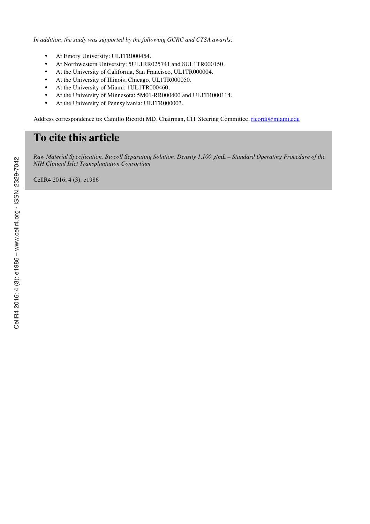*In addition, the study was supported by the following GCRC and CTSA awards:*

- At Emory University: UL1TR000454.
- At Northwestern University: 5UL1RR025741 and 8UL1TR000150.
- At the University of California, San Francisco, UL1TR000004.
- At the University of Illinois, Chicago, UL1TR000050.
- At the University of Miami: 1UL1TR000460.
- At the University of Minnesota: 5M01-RR000400 and UL1TR000114.
- At the University of Pennsylvania: UL1TR000003.

Address correspondence to: Camillo Ricordi MD, Chairman, CIT Steering Committee, ricordi@miami.edu

## **To cite this article**

*Raw Material Specification, Biocoll Separating Solution, Density 1.100 g/mL – Standard Operating Procedure of the NIH Clinical Islet Transplantation Consortium*

CellR4 2016; 4 (3): e1986